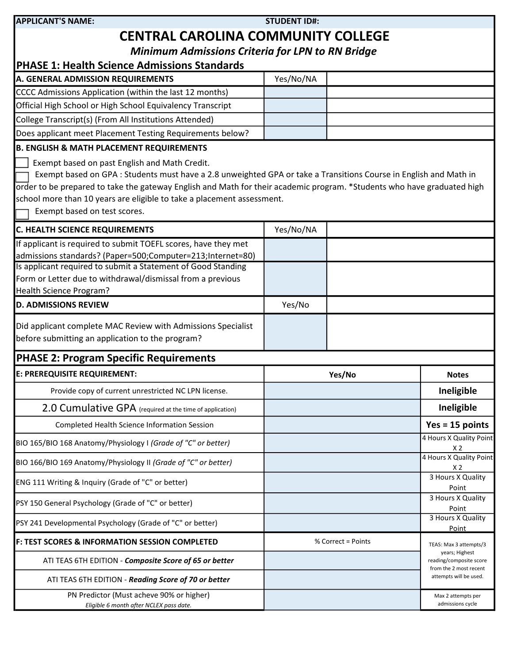| <b>APPLICANT'S NAME:</b>                                                                                                | <b>STUDENT ID#:</b> |                    |                                                                     |  |
|-------------------------------------------------------------------------------------------------------------------------|---------------------|--------------------|---------------------------------------------------------------------|--|
| <b>CENTRAL CAROLINA COMMUNITY COLLEGE</b>                                                                               |                     |                    |                                                                     |  |
| <b>Minimum Admissions Criteria for LPN to RN Bridge</b>                                                                 |                     |                    |                                                                     |  |
| <b>PHASE 1: Health Science Admissions Standards</b>                                                                     |                     |                    |                                                                     |  |
| A. GENERAL ADMISSION REQUIREMENTS                                                                                       | Yes/No/NA           |                    |                                                                     |  |
| CCCC Admissions Application (within the last 12 months)                                                                 |                     |                    |                                                                     |  |
| Official High School or High School Equivalency Transcript                                                              |                     |                    |                                                                     |  |
| College Transcript(s) (From All Institutions Attended)                                                                  |                     |                    |                                                                     |  |
| Does applicant meet Placement Testing Requirements below?                                                               |                     |                    |                                                                     |  |
| <b>B. ENGLISH &amp; MATH PLACEMENT REQUIREMENTS</b>                                                                     |                     |                    |                                                                     |  |
| Exempt based on past English and Math Credit.                                                                           |                     |                    |                                                                     |  |
| Exempt based on GPA: Students must have a 2.8 unweighted GPA or take a Transitions Course in English and Math in        |                     |                    |                                                                     |  |
| order to be prepared to take the gateway English and Math for their academic program. *Students who have graduated high |                     |                    |                                                                     |  |
| school more than 10 years are eligible to take a placement assessment.                                                  |                     |                    |                                                                     |  |
| Exempt based on test scores.                                                                                            |                     |                    |                                                                     |  |
| <b>C. HEALTH SCIENCE REQUIREMENTS</b>                                                                                   | Yes/No/NA           |                    |                                                                     |  |
| If applicant is required to submit TOEFL scores, have they met                                                          |                     |                    |                                                                     |  |
| admissions standards? (Paper=500;Computer=213;Internet=80)                                                              |                     |                    |                                                                     |  |
| Is applicant required to submit a Statement of Good Standing                                                            |                     |                    |                                                                     |  |
| Form or Letter due to withdrawal/dismissal from a previous                                                              |                     |                    |                                                                     |  |
| Health Science Program?                                                                                                 |                     |                    |                                                                     |  |
| <b>D. ADMISSIONS REVIEW</b>                                                                                             | Yes/No              |                    |                                                                     |  |
| Did applicant complete MAC Review with Admissions Specialist                                                            |                     |                    |                                                                     |  |
| before submitting an application to the program?                                                                        |                     |                    |                                                                     |  |
| <b>PHASE 2: Program Specific Requirements</b>                                                                           |                     |                    |                                                                     |  |
| E: PREREQUISITE REQUIREMENT:                                                                                            |                     | Yes/No             | <b>Notes</b>                                                        |  |
| Provide copy of current unrestricted NC LPN license.                                                                    |                     |                    | Ineligible                                                          |  |
|                                                                                                                         |                     |                    |                                                                     |  |
| 2.0 Cumulative GPA (required at the time of application)                                                                |                     |                    | Ineligible                                                          |  |
| Completed Health Science Information Session                                                                            |                     |                    | $Yes = 15 points$                                                   |  |
| BIO 165/BIO 168 Anatomy/Physiology I (Grade of "C" or better)                                                           |                     |                    | 4 Hours X Quality Point<br>X <sub>2</sub>                           |  |
| BIO 166/BIO 169 Anatomy/Physiology II (Grade of "C" or better)                                                          |                     |                    | 4 Hours X Quality Point<br>X <sub>2</sub>                           |  |
| ENG 111 Writing & Inquiry (Grade of "C" or better)                                                                      |                     |                    | 3 Hours X Quality<br>Point                                          |  |
| PSY 150 General Psychology (Grade of "C" or better)                                                                     |                     |                    | 3 Hours X Quality<br>Point                                          |  |
| PSY 241 Developmental Psychology (Grade of "C" or better)                                                               |                     |                    | 3 Hours X Quality<br>Point                                          |  |
| <b>F: TEST SCORES &amp; INFORMATION SESSION COMPLETED</b>                                                               |                     | % Correct = Points | TEAS: Max 3 attempts/3                                              |  |
| ATI TEAS 6TH EDITION - Composite Score of 65 or better                                                                  |                     |                    | years; Highest<br>reading/composite score<br>from the 2 most recent |  |
| ATI TEAS 6TH EDITION - Reading Score of 70 or better                                                                    |                     |                    | attempts will be used.                                              |  |
| PN Predictor (Must acheve 90% or higher)<br>Eligible 6 month after NCLEX pass date.                                     |                     |                    | Max 2 attempts per<br>admissions cycle                              |  |